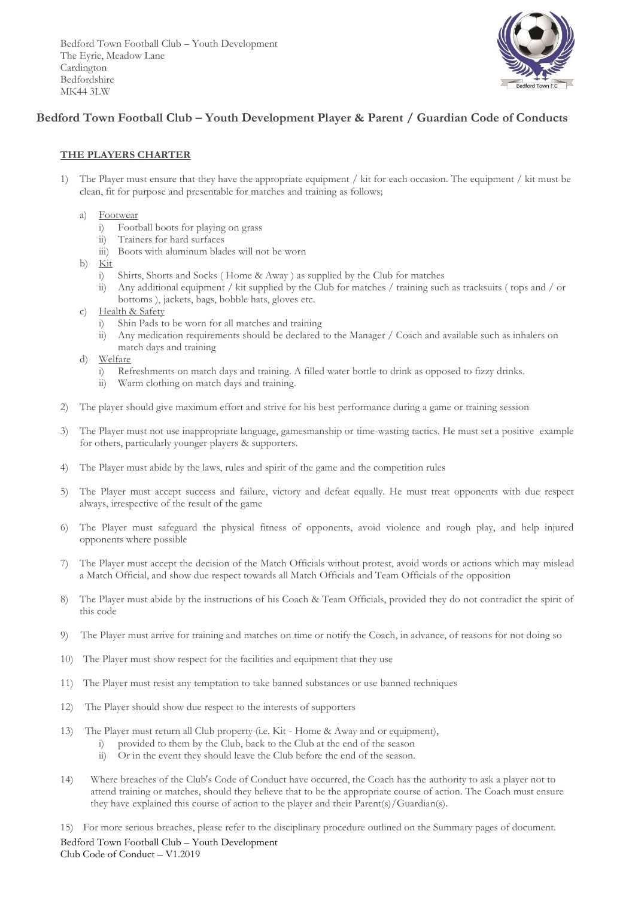Bedford Town Football Club – Youth Development The Eyrie, Meadow Lane Cardington Bedfordshire MK44 3LW



# **Bedford Town Football Club – Youth Development Player & Parent / Guardian Code of Conducts**

### **THE PLAYERS CHARTER**

- 1) The Player must ensure that they have the appropriate equipment / kit for each occasion. The equipment / kit must be clean, fit for purpose and presentable for matches and training as follows;
	- a) Footwear
		- i) Football boots for playing on grass
		- ii) Trainers for hard surfaces
		- iii) Boots with aluminum blades will not be worn
	- b)  $\overline{\text{Kit}}$ 
		- i) Shirts, Shorts and Socks ( Home & Away ) as supplied by the Club for matches
		- ii) Any additional equipment / kit supplied by the Club for matches / training such as tracksuits ( tops and / or bottoms ), jackets, bags, bobble hats, gloves etc.
	- c) Health & Safety
		- i) Shin Pads to be worn for all matches and training
		- ii) Any medication requirements should be declared to the Manager / Coach and available such as inhalers on match days and training
	- d) Welfare
		- i) Refreshments on match days and training. A filled water bottle to drink as opposed to fizzy drinks.
		- ii) Warm clothing on match days and training.
- 2) The player should give maximum effort and strive for his best performance during a game or training session
- 3) The Player must not use inappropriate language, gamesmanship or time-wasting tactics. He must set a positive example for others, particularly younger players & supporters.
- 4) The Player must abide by the laws, rules and spirit of the game and the competition rules
- 5) The Player must accept success and failure, victory and defeat equally. He must treat opponents with due respect always, irrespective of the result of the game
- 6) The Player must safeguard the physical fitness of opponents, avoid violence and rough play, and help injured opponents where possible
- 7) The Player must accept the decision of the Match Officials without protest, avoid words or actions which may mislead a Match Official, and show due respect towards all Match Officials and Team Officials of the opposition
- 8) The Player must abide by the instructions of his Coach & Team Officials, provided they do not contradict the spirit of this code
- 9) The Player must arrive for training and matches on time or notify the Coach, in advance, of reasons for not doing so
- 10) The Player must show respect for the facilities and equipment that they use
- 11) The Player must resist any temptation to take banned substances or use banned techniques
- 12) The Player should show due respect to the interests of supporters
- 13) The Player must return all Club property (i.e. Kit Home & Away and or equipment),
	- i) provided to them by the Club, back to the Club at the end of the season
		- ii) Or in the event they should leave the Club before the end of the season.
- 14) Where breaches of the Club's Code of Conduct have occurred, the Coach has the authority to ask a player not to attend training or matches, should they believe that to be the appropriate course of action. The Coach must ensure they have explained this course of action to the player and their Parent(s)/Guardian(s).

Bedford Town Football Club – Youth Development Club Code of Conduct – V1.2019 15) For more serious breaches, please refer to the disciplinary procedure outlined on the Summary pages of document.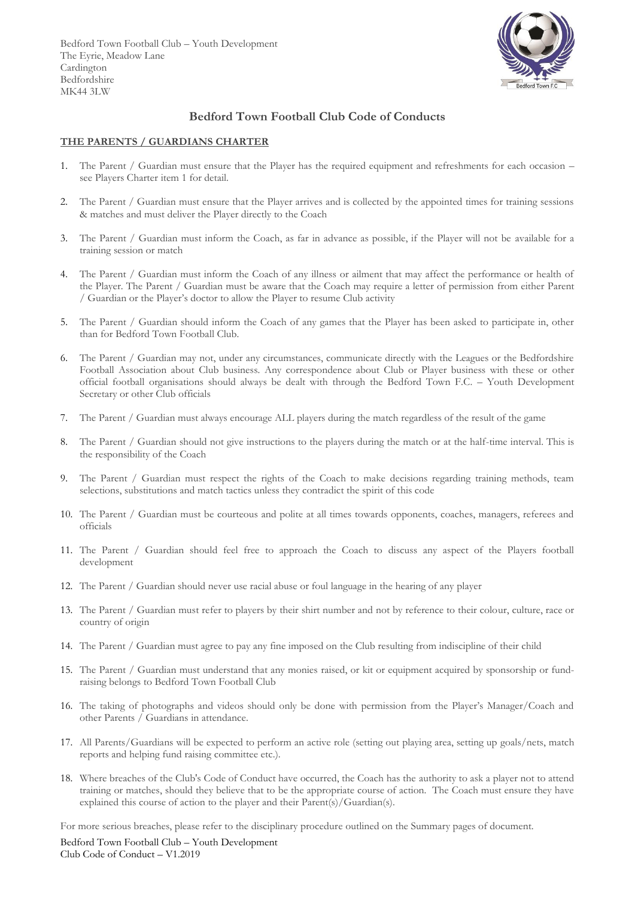Bedford Town Football Club – Youth Development The Eyrie, Meadow Lane Cardington Bedfordshire MK44 3LW



## **Bedford Town Football Club Code of Conducts**

#### **THE PARENTS / GUARDIANS CHARTER**

- 1. The Parent / Guardian must ensure that the Player has the required equipment and refreshments for each occasion see Players Charter item 1 for detail.
- 2. The Parent / Guardian must ensure that the Player arrives and is collected by the appointed times for training sessions & matches and must deliver the Player directly to the Coach
- 3. The Parent / Guardian must inform the Coach, as far in advance as possible, if the Player will not be available for a training session or match
- 4. The Parent / Guardian must inform the Coach of any illness or ailment that may affect the performance or health of the Player. The Parent / Guardian must be aware that the Coach may require a letter of permission from either Parent / Guardian or the Player's doctor to allow the Player to resume Club activity
- 5. The Parent / Guardian should inform the Coach of any games that the Player has been asked to participate in, other than for Bedford Town Football Club.
- 6. The Parent / Guardian may not, under any circumstances, communicate directly with the Leagues or the Bedfordshire Football Association about Club business. Any correspondence about Club or Player business with these or other official football organisations should always be dealt with through the Bedford Town F.C. – Youth Development Secretary or other Club officials
- 7. The Parent / Guardian must always encourage ALL players during the match regardless of the result of the game
- 8. The Parent / Guardian should not give instructions to the players during the match or at the half-time interval. This is the responsibility of the Coach
- 9. The Parent / Guardian must respect the rights of the Coach to make decisions regarding training methods, team selections, substitutions and match tactics unless they contradict the spirit of this code
- 10. The Parent / Guardian must be courteous and polite at all times towards opponents, coaches, managers, referees and officials
- 11. The Parent / Guardian should feel free to approach the Coach to discuss any aspect of the Players football development
- 12. The Parent / Guardian should never use racial abuse or foul language in the hearing of any player
- 13. The Parent / Guardian must refer to players by their shirt number and not by reference to their colour, culture, race or country of origin
- 14. The Parent / Guardian must agree to pay any fine imposed on the Club resulting from indiscipline of their child
- 15. The Parent / Guardian must understand that any monies raised, or kit or equipment acquired by sponsorship or fundraising belongs to Bedford Town Football Club
- 16. The taking of photographs and videos should only be done with permission from the Player's Manager/Coach and other Parents / Guardians in attendance.
- 17. All Parents/Guardians will be expected to perform an active role (setting out playing area, setting up goals/nets, match reports and helping fund raising committee etc.).
- 18. Where breaches of the Club's Code of Conduct have occurred, the Coach has the authority to ask a player not to attend training or matches, should they believe that to be the appropriate course of action. The Coach must ensure they have explained this course of action to the player and their Parent(s)/Guardian(s).

For more serious breaches, please refer to the disciplinary procedure outlined on the Summary pages of document.

Bedford Town Football Club – Youth Development Club Code of Conduct – V1.2019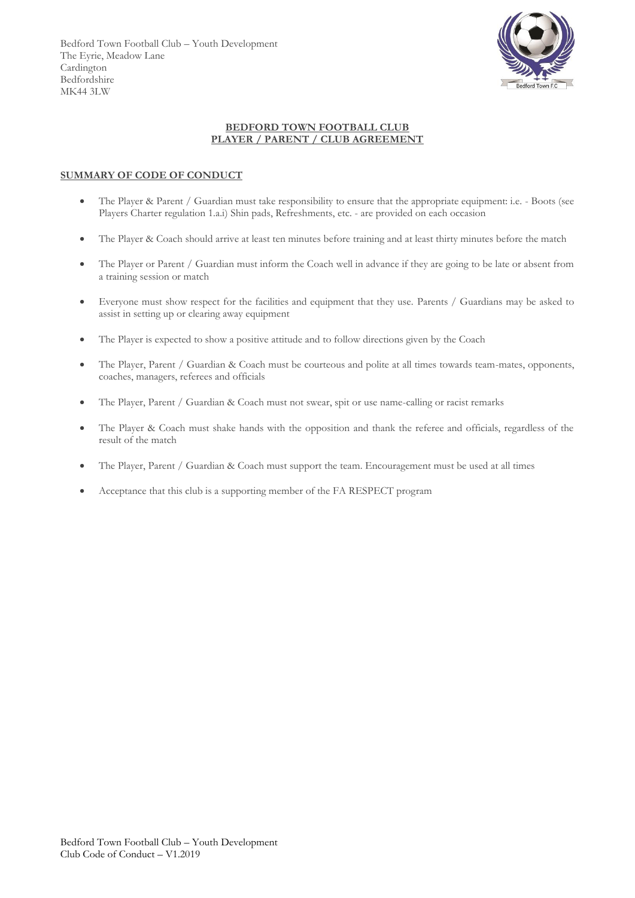

#### **BEDFORD TOWN FOOTBALL CLUB PLAYER / PARENT / CLUB AGREEMENT**

#### **SUMMARY OF CODE OF CONDUCT**

- The Player & Parent / Guardian must take responsibility to ensure that the appropriate equipment: i.e. Boots (see Players Charter regulation 1.a.i) Shin pads, Refreshments, etc. - are provided on each occasion
- The Player & Coach should arrive at least ten minutes before training and at least thirty minutes before the match
- The Player or Parent / Guardian must inform the Coach well in advance if they are going to be late or absent from a training session or match
- Everyone must show respect for the facilities and equipment that they use. Parents / Guardians may be asked to assist in setting up or clearing away equipment
- The Player is expected to show a positive attitude and to follow directions given by the Coach
- The Player, Parent / Guardian & Coach must be courteous and polite at all times towards team-mates, opponents, coaches, managers, referees and officials
- The Player, Parent / Guardian & Coach must not swear, spit or use name-calling or racist remarks
- The Player & Coach must shake hands with the opposition and thank the referee and officials, regardless of the result of the match
- The Player, Parent / Guardian & Coach must support the team. Encouragement must be used at all times
- Acceptance that this club is a supporting member of the FA RESPECT program